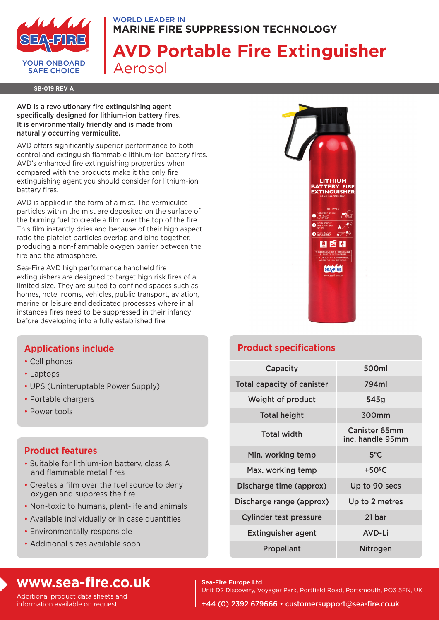

#### WORLD LEADER IN **MARINE FIRE SUPPRESSION TECHNOLOGY**

# **AVD Portable Fire Extinguisher** Aerosol

**SB-019 REV A**

AVD is a revolutionary fire extinguishing agent specifically designed for lithium-ion battery fires. It is environmentally friendly and is made from naturally occurring vermiculite.

AVD offers significantly superior performance to both control and extinguish flammable lithium-ion battery fires. AVD's enhanced fire extinguishing properties when compared with the products make it the only fire extinguishing agent you should consider for lithium-ion battery fires.

AVD is applied in the form of a mist. The vermiculite particles within the mist are deposited on the surface of the burning fuel to create a film over the top of the fire. This film instantly dries and because of their high aspect ratio the platelet particles overlap and bind together, producing a non-flammable oxygen barrier between the fire and the atmosphere.

Sea-Fire AVD high performance handheld fire extinguishers are designed to target high risk fires of a limited size. They are suited to confined spaces such as homes, hotel rooms, vehicles, public transport, aviation, marine or leisure and dedicated processes where in all instances fires need to be suppressed in their infancy before developing into a fully established fire.



## **Applications include**

- Cell phones
- Laptops
- UPS (Uninteruptable Power Supply)
- Portable chargers
- Power tools

### **Product features**

- Suitable for lithium-ion battery, class A and flammable metal fires
- Creates a film over the fuel source to deny oxygen and suppress the fire
- Non-toxic to humans, plant-life and animals
- Available individually or in case quantities
- Environmentally responsible
- Additional sizes available soon

## **Product specifications**

| Capacity                      | 500ml                                    |
|-------------------------------|------------------------------------------|
| Total capacity of canister    | 794ml                                    |
| Weight of product             | 545g                                     |
| <b>Total height</b>           | 300mm                                    |
| <b>Total width</b>            | <b>Canister 65mm</b><br>inc. handle 95mm |
| Min. working temp             | $5^{\circ}$ C                            |
| Max. working temp             | $+50^{\circ}$ C                          |
| Discharge time (approx)       | Up to 90 secs                            |
| Discharge range (approx)      | Up to 2 metres                           |
| <b>Cylinder test pressure</b> | 21 bar                                   |
| <b>Extinguisher agent</b>     | <b>AVD-Li</b>                            |
| Propellant                    | <b>Nitrogen</b>                          |

## **www.sea-fire.co.uk**

Additional product data sheets and information available on request

**Sea-Fire Europe Ltd** Unit D2 Discovery, Voyager Park, Portfield Road, Portsmouth, PO3 5FN, UK

+44 (0) 2392 679666 • customersupport@sea-fire.co.uk